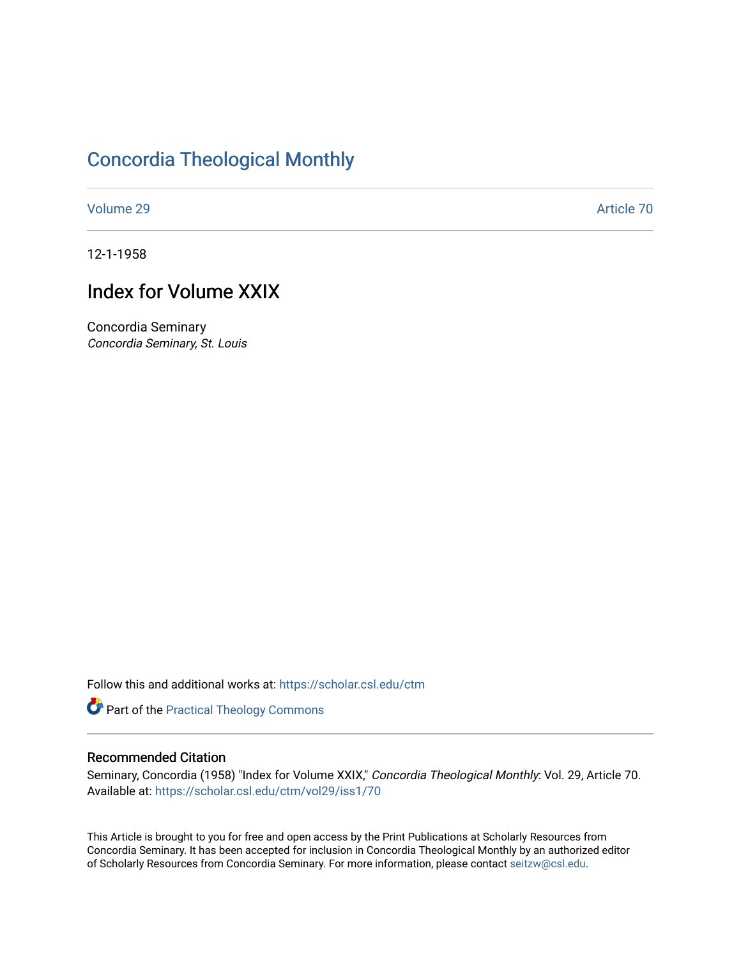## [Concordia Theological Monthly](https://scholar.csl.edu/ctm)

[Volume 29](https://scholar.csl.edu/ctm/vol29) Article 70

12-1-1958

## Index for Volume XXIX

Concordia Seminary Concordia Seminary, St. Louis

Follow this and additional works at: [https://scholar.csl.edu/ctm](https://scholar.csl.edu/ctm?utm_source=scholar.csl.edu%2Fctm%2Fvol29%2Fiss1%2F70&utm_medium=PDF&utm_campaign=PDFCoverPages)

Part of the [Practical Theology Commons](http://network.bepress.com/hgg/discipline/1186?utm_source=scholar.csl.edu%2Fctm%2Fvol29%2Fiss1%2F70&utm_medium=PDF&utm_campaign=PDFCoverPages)

### Recommended Citation

Seminary, Concordia (1958) "Index for Volume XXIX," Concordia Theological Monthly: Vol. 29, Article 70. Available at: [https://scholar.csl.edu/ctm/vol29/iss1/70](https://scholar.csl.edu/ctm/vol29/iss1/70?utm_source=scholar.csl.edu%2Fctm%2Fvol29%2Fiss1%2F70&utm_medium=PDF&utm_campaign=PDFCoverPages) 

This Article is brought to you for free and open access by the Print Publications at Scholarly Resources from Concordia Seminary. It has been accepted for inclusion in Concordia Theological Monthly by an authorized editor of Scholarly Resources from Concordia Seminary. For more information, please contact [seitzw@csl.edu](mailto:seitzw@csl.edu).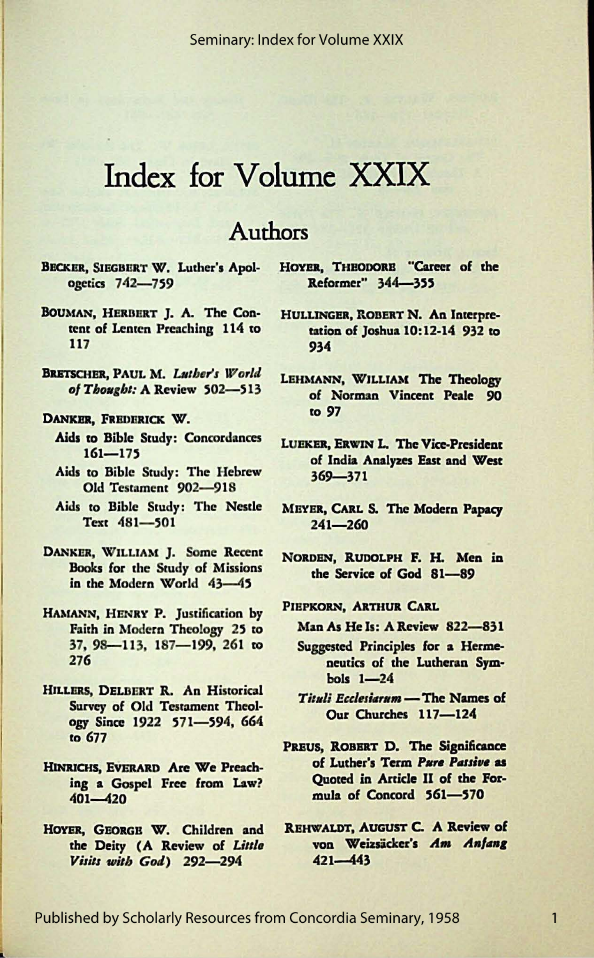# Index for Volume XXIX

### **Authors**

- BECKER, SIEGBERT W. Luther's Apologetics 742-759
- BOUMAN, HERBERT J. A. The Content of Lenten Preaching 114 to 117
- BRETSCHER, PAUL M. Luther's World of Thought: A Review 502-513
- DANKER, FREDERICK W.
	- Aids to Bible Study: Concordances  $161 - 175$
	- Aids to Bible Study: The Hebrew Old Testament 902-918
	- Aids to Bible Study: The Nestle Text 481-501
- DANKER, WILLIAM J. Some Recent **Books for the Study of Missions** in the Modern World 43-45
- HAMANN, HENRY P. Justification by Faith in Modern Theology 25 to 37, 98-113, 187-199, 261 to 276
- HILLERS, DELBERT R. An Historical Survey of Old Testament Theology Since 1922 571-594, 664 to 677
- HINRICHS, EVERARD Are We Preaching a Gospel Free from Law?  $401 - 420$
- HOYER, GEORGE W. Children and the Deity (A Review of Little Visits with God) 292-294

HOYER, THEODORE "Career of the Reformer" 344-355

- HULLINGER, ROBERT N. An Interpretation of Joshua 10:12-14 932 to 934
- LEHMANN, WILLIAM The Theology of Norman Vincent Peale 90 to 97
- LUEKER, ERWIN L. The Vice-President of India Analyzes East and West  $369 - 371$
- MEYER, CARL S. The Modern Papacy  $241 - 260$
- NORDEN, RUDOLPH F. H. Men in the Service of God 81-89
- PIEPKORN, ARTHUR CARL
	- Man As He Is: A Review 822-831
	- Suggested Principles for a Hermeneutics of the Lutheran Sym $bols$   $1-24$
	- Tituli Ecclesiarum The Names of Our Churches 117-124
- PREUS, ROBERT D. The Significance of Luther's Term Pure Passive as Ouoted in Article II of the Formula of Concord 561-570
- REHWALDT, AUGUST C. A Review of von Weizsäcker's Am Anfang  $421 - 443$

 $\mathbf{1}$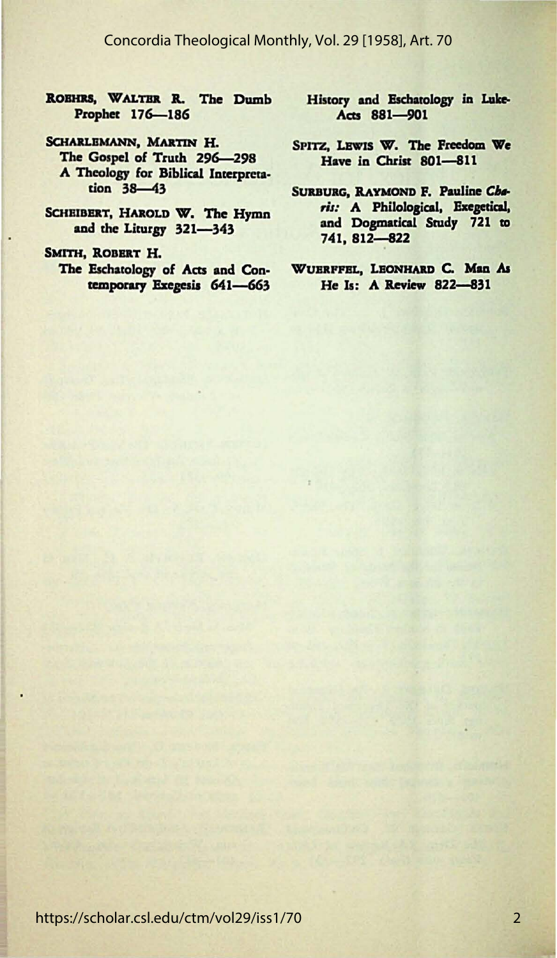#### Concordia Theological Monthly, Vol. 29 [1958], Art. 70

- ROBHRS, WALTER R. The Dumb Prophet 176-186
- SCHARLEMANN, MARTIN H. The Gospel of Truth 296-298 A Theology for Biblical Interpreta $tion$  38-43
- SCHEIBERT, HAROLD W. The Hymn and the Liturgy 321-343
- SMITH, ROBERT H.

The Eschatology of Acts and Contemporary Exegesis 641-663

- History and Eschatology in Luke-Acts 881-901
- SPITZ, LEWIS W. The Freedom We Have in Christ 801-811
- SURBURG, RAYMOND F. Pauline Charis: A Philological, Exegetical, and Dogmatical Study 721 to 741, 812-822
- WUERFFEL, LEONHARD C. Man As He Is: A Review 822-831

https://scholar.csl.edu/ctm/vol29/iss1/70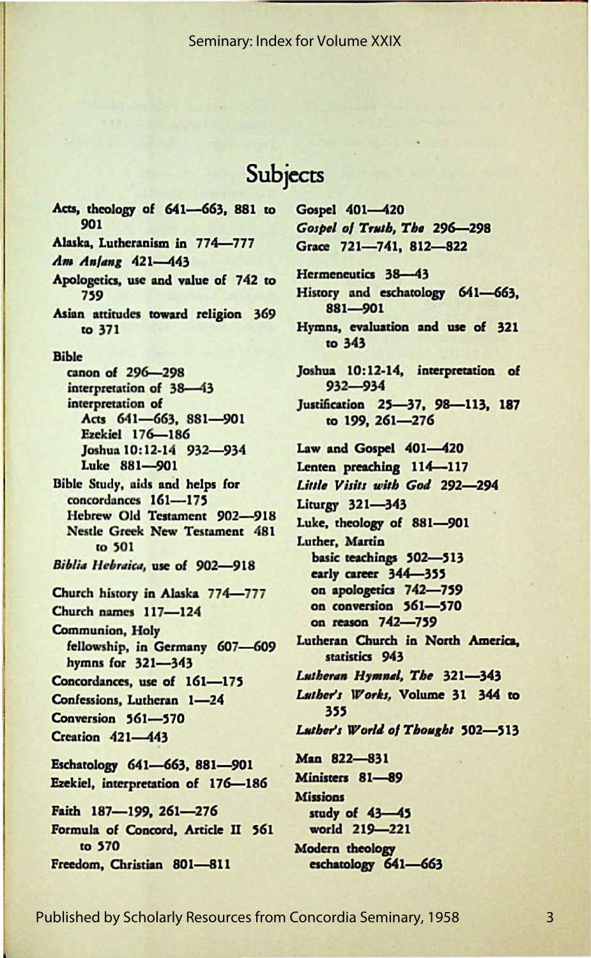#### Seminary: Index for Volume XXIX

### Subjects

Gospel 401-420

Gospel of Truth, The 296-298

Acts, theology of 641-663, 881 to 901 Alaska, Lutheranism in 774-777 Am Anjang 421-443 Apologetics, use and value of 742 to 759 Asian attitudes toward religion 369 to 371 **Bible** canon of 296-298 interpretation of 38-43 interpretation of Acts 641-663, 881-901 Ezekiel 176-186 Joshua 10:12-14 932-934 Luke 881-901 Bible Study, aids and helps for concordances 161-175 Hebrew Old Testament 902-918 **Nestle Greek New Testament 481** to 501 Biblia Hebraica, use of 902-918 Church history in Alaska 774-777 Church names 117-124 **Communion**, Holy fellowship, in Germany 607-609 hymns for 321-343 Concordances, use of 161-175 Confessions, Lutheran 1-24 Conversion 561-570 **Creation 421-443** Eschatology 641-663, 881-901 Ezekiel, interpretation of 176-186 Faith 187-199, 261-276 Formula of Concord, Article II 561 to 570 Freedom, Christian 801-811

Grace 721-741, 812-822 Hermeneutics 38-43 History and eschatology 641-663, 881-901 Hymns, evaluation and use of 321 to 343 Joshua 10:12-14, interpretation of  $932 - 934$ Justification 25-37, 98-113, 187 to 199, 261-276 Law and Gospel 401-420 Lenten preaching 114-117 Little Visits with God 292-294 Liturgy 321-343 Luke, theology of 881-901 Luther, Martin basic teachings 502-513 early career 344-355 on apologetics 742-759 on conversion 561-570 on reason 742-759 Lutheran Church in North America, statistics 943 Lutheran Hymnal, The 321-343 Luther's Works, Volume 31 344 to 355 Luther's World of Thought 502-513 Man 822-831 Ministers 81-89 **Missions** study of 43-45 world 219-221 Modern theology eschatology 641-663